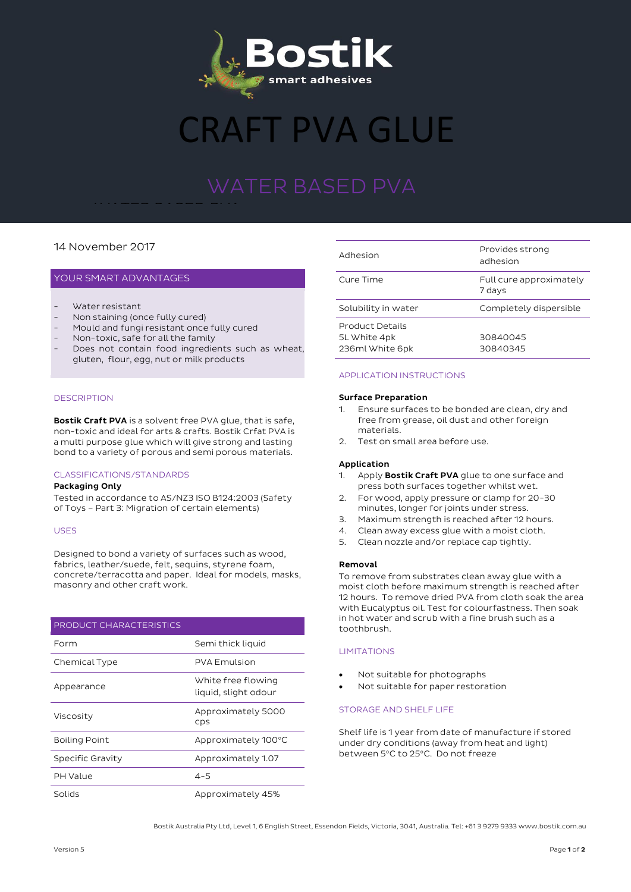

# **T PVA GLUE**

### 14 November 2017

#### YOUR SMART ADVANTAGES

- Water resistant
- Non staining (once fully cured)
- Mould and fungi resistant once fully cured

water based by the second parties of the second parties of the second parties of the second parties of the second parties of the second parties of the second parties of the second parties of the second parties of the secon WATER BASED PVA

- Non-toxic, safe for all the family
- Does not contain food ingredients such as wheat, gluten, flour, egg, nut or milk products

#### **DESCRIPTION**

**Bostik Craft PVA** is a solvent free PVA glue, that is safe, non-toxic and ideal for arts & crafts. Bostik Crfat PVA is a multi purpose glue which will give strong and lasting bond to a variety of porous and semi porous materials.

#### CLASSIFICATIONS/STANDARDS

#### **Packaging Only**

Tested in accordance to AS/NZ3 ISO B124:2003 (Safety of Toys – Part 3: Migration of certain elements)

#### USES

Designed to bond a variety of surfaces such as wood, fabrics, leather/suede, felt, sequins, styrene foam, concrete/terracotta and paper. Ideal for models, masks, masonry and other craft work.

## PRODUCT CHARACTERISTICS Form Semi thick liquid

| Chemical Type        | <b>PVA Emulsion</b>                        |
|----------------------|--------------------------------------------|
| Appearance           | White free flowing<br>liquid, slight odour |
| Viscosity            | Approximately 5000<br>cps                  |
| <b>Boiling Point</b> | Approximately 100°C                        |
| Specific Gravity     | Approximately 1.07                         |
| <b>PH Value</b>      | $4 - 5$                                    |
| Solids               | Approximately 45%                          |

| Adhesion                                                  | Provides strong<br>adhesion       |
|-----------------------------------------------------------|-----------------------------------|
| Cure Time                                                 | Full cure approximately<br>7 days |
| Solubility in water                                       | Completely dispersible            |
| <b>Product Details</b><br>5L White 4pk<br>236ml White 6pk | 30840045<br>30840345              |

### APPLICATION INSTRUCTIONS

#### **Surface Preparation**

- 1. Ensure surfaces to be bonded are clean, dry and free from grease, oil dust and other foreign materials.
- 2. Test on small area before use.

#### **Application**

- 1. Apply **Bostik Craft PVA** glue to one surface and press both surfaces together whilst wet.
- 2. For wood, apply pressure or clamp for 20-30 minutes, longer for joints under stress.
- 3. Maximum strength is reached after 12 hours.
- 4. Clean away excess glue with a moist cloth.
- 5. Clean nozzle and/or replace cap tightly.

#### **Removal**

To remove from substrates clean away glue with a moist cloth before maximum strength is reached after 12 hours. To remove dried PVA from cloth soak the area with Eucalyptus oil. Test for colourfastness. Then soak in hot water and scrub with a fine brush such as a toothbrush.

#### LIMITATIONS

- Not suitable for photographs
- Not suitable for paper restoration

#### STORAGE AND SHELF LIFE

Shelf life is 1 year from date of manufacture if stored under dry conditions (away from heat and light) between 5°C to 25°C. Do not freeze

Bostik Australia Pty Ltd, Level 1, 6 English Street, Essendon Fields, Victoria, 3041, Australia. Tel: +61 3 9279 9333 www.bostik.com.au